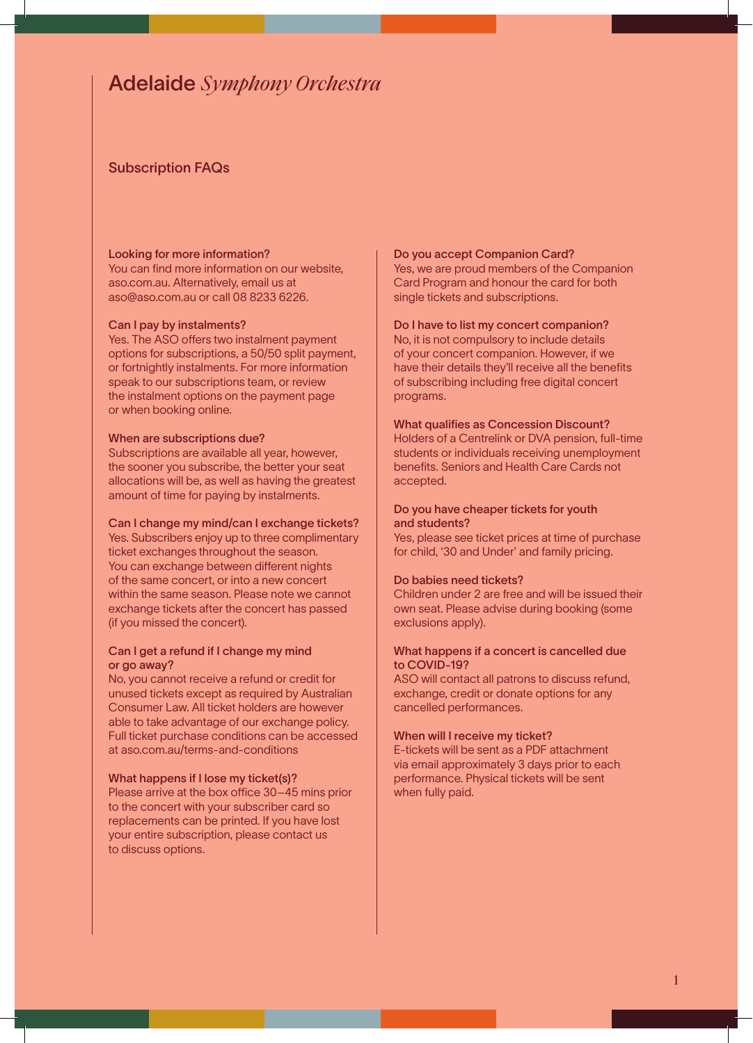# Adelaide *Symphony Orchestra*

## Subscription FAQs

### Looking for more information?

You can find more information on our website, aso.com.au. Alternatively, email us at aso@aso.com.au or call 08 8233 6226.

### Can I pay by instalments?

Yes. The ASO offers two instalment payment options for subscriptions, a 50/50 split payment, or fortnightly instalments. For more information speak to our subscriptions team, or review the instalment options on the payment page or when booking online.

### When are subscriptions due?

Subscriptions are available all year, however, the sooner you subscribe, the better your seat allocations will be, as well as having the greatest amount of time for paying by instalments.

### Can I change my mind/can I exchange tickets?

Yes. Subscribers enjoy up to three complimentary ticket exchanges throughout the season. You can exchange between different nights of the same concert, or into a new concert within the same season. Please note we cannot exchange tickets after the concert has passed (if you missed the concert).

### Can I get a refund if I change my mind or go away?

No, you cannot receive a refund or credit for unused tickets except as required by Australian Consumer Law. All ticket holders are however able to take advantage of our exchange policy. Full ticket purchase conditions can be accessed at aso.com.au/terms-and-conditions

### What happens if I lose my ticket(s)?

Please arrive at the box office 30–45 mins prior to the concert with your subscriber card so replacements can be printed. If you have lost your entire subscription, please contact us to discuss options.

### Do you accept Companion Card?

Yes, we are proud members of the Companion Card Program and honour the card for both single tickets and subscriptions.

### Do I have to list my concert companion?

No, it is not compulsory to include details of your concert companion. However, if we have their details they'll receive all the benefits of subscribing including free digital concert programs.

### What qualifies as Concession Discount?

Holders of a Centrelink or DVA pension, full-time students or individuals receiving unemployment benefits. Seniors and Health Care Cards not accepted.

### Do you have cheaper tickets for youth and students?

Yes, please see ticket prices at time of purchase for child, '30 and Under' and family pricing.

### Do babies need tickets?

Children under 2 are free and will be issued their own seat. Please advise during booking (some exclusions apply).

### What happens if a concert is cancelled due to COVID-19?

ASO will contact all patrons to discuss refund, exchange, credit or donate options for any cancelled performances.

### When will I receive my ticket?

E-tickets will be sent as a PDF attachment via email approximately 3 days prior to each performance. Physical tickets will be sent when fully paid.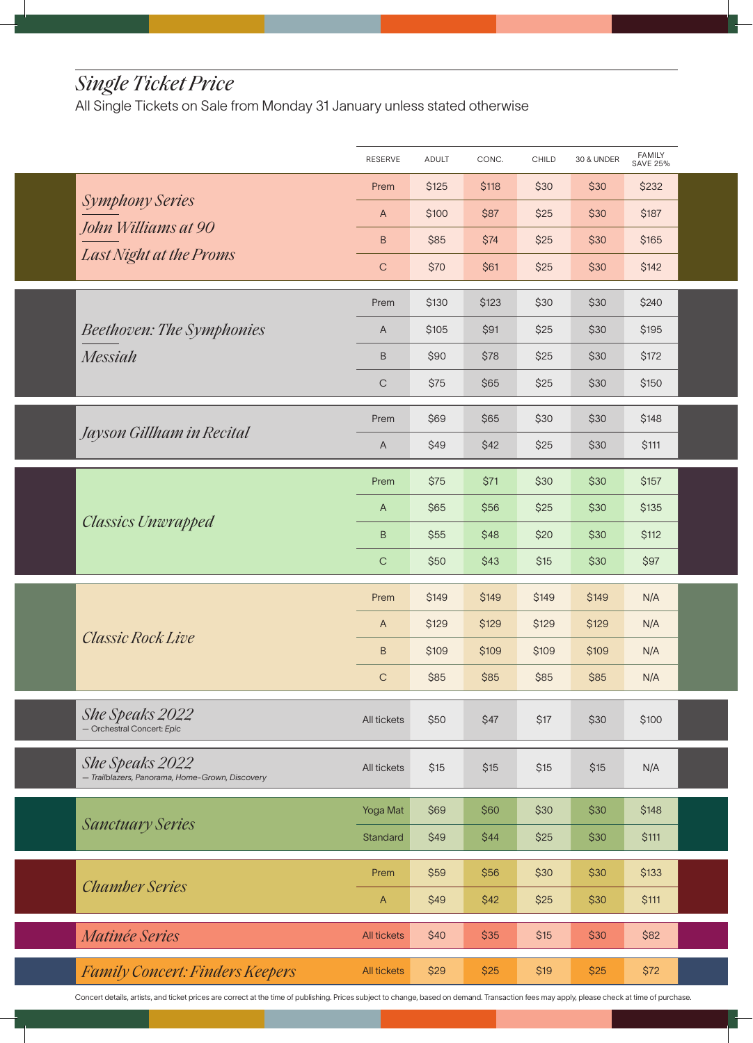# *Single Ticket Price*

All Single Tickets on Sale from Monday 31 January unless stated otherwise

|                                                                    | RESERVE                   | <b>ADULT</b> | CONC. | CHILD | <b>30 &amp; UNDER</b> | FAMILY<br>SAVE 25% |  |
|--------------------------------------------------------------------|---------------------------|--------------|-------|-------|-----------------------|--------------------|--|
|                                                                    | Prem                      | \$125        | \$118 | \$30  | \$30                  | \$232              |  |
| Symphony Series                                                    | $\boldsymbol{\mathsf{A}}$ | \$100        | \$87  | \$25  | \$30                  | \$187              |  |
| John Williams at 90                                                | B                         | \$85         | \$74  | \$25  | \$30                  | \$165              |  |
| Last Night at the Proms                                            | $\mathsf C$               | \$70         | \$61  | \$25  | \$30                  | \$142              |  |
|                                                                    | Prem                      | \$130        | \$123 | \$30  | \$30                  | \$240              |  |
| <b>Beethoven: The Symphonies</b>                                   | $\mathsf A$               | \$105        | \$91  | \$25  | \$30                  | \$195              |  |
| <b>Messiah</b>                                                     | B                         | \$90         | \$78  | \$25  | \$30                  | \$172              |  |
|                                                                    | $\mathsf C$               | \$75         | \$65  | \$25  | \$30                  | \$150              |  |
|                                                                    | Prem                      | \$69         | \$65  | \$30  | \$30                  | \$148              |  |
| Jayson Gillham in Recital                                          | A                         | \$49         | \$42  | \$25  | \$30                  | \$111              |  |
|                                                                    | Prem                      | \$75         | \$71  | \$30  | \$30                  | \$157              |  |
|                                                                    | $\mathsf{A}$              | \$65         | \$56  | \$25  | \$30                  | \$135              |  |
| <b>Classics Unwrapped</b>                                          | $\sf B$                   | \$55         | \$48  | \$20  | \$30                  | \$112              |  |
|                                                                    | $\mathsf C$               | \$50         | \$43  | \$15  | \$30                  | \$97               |  |
|                                                                    | Prem                      | \$149        | \$149 | \$149 | \$149                 | N/A                |  |
|                                                                    | $\boldsymbol{\mathsf{A}}$ | \$129        | \$129 | \$129 | \$129                 | N/A                |  |
| <b>Classic Rock Live</b>                                           | B                         | \$109        | \$109 | \$109 | \$109                 | N/A                |  |
|                                                                    | C                         | \$85         | \$85  | \$85  | \$85                  | N/A                |  |
| She Speaks 2022<br>- Orchestral Concert: Epic                      | All tickets               | \$50         | \$47  | \$17  | \$30                  | \$100              |  |
|                                                                    |                           |              |       |       |                       |                    |  |
| She Speaks 2022<br>- Trailblazers, Panorama, Home-Grown, Discovery | All tickets               | \$15         | \$15  | \$15  | \$15                  | N/A                |  |
|                                                                    | Yoga Mat                  | \$69         | \$60  | \$30  | \$30                  | \$148              |  |
| <b>Sanctuary Series</b>                                            | Standard                  | \$49         | \$44  | \$25  | \$30                  | \$111              |  |
|                                                                    | Prem                      | \$59         | \$56  | \$30  | \$30                  | \$133              |  |
| <b>Chamber Series</b>                                              | $\mathsf{A}$              | \$49         | \$42  | \$25  | \$30                  | \$111              |  |
| <i>Matinée Series</i>                                              | <b>All tickets</b>        | \$40         | \$35  | \$15  | \$30                  | \$82               |  |
| <b>Family Concert: Finders Keepers</b>                             | <b>All tickets</b>        | \$29         | \$25  | \$19  | \$25                  | \$72               |  |

Concert details, artists, and ticket prices are correct at the time of publishing. Prices subject to change, based on demand. Transaction fees may apply, please check at time of purchase.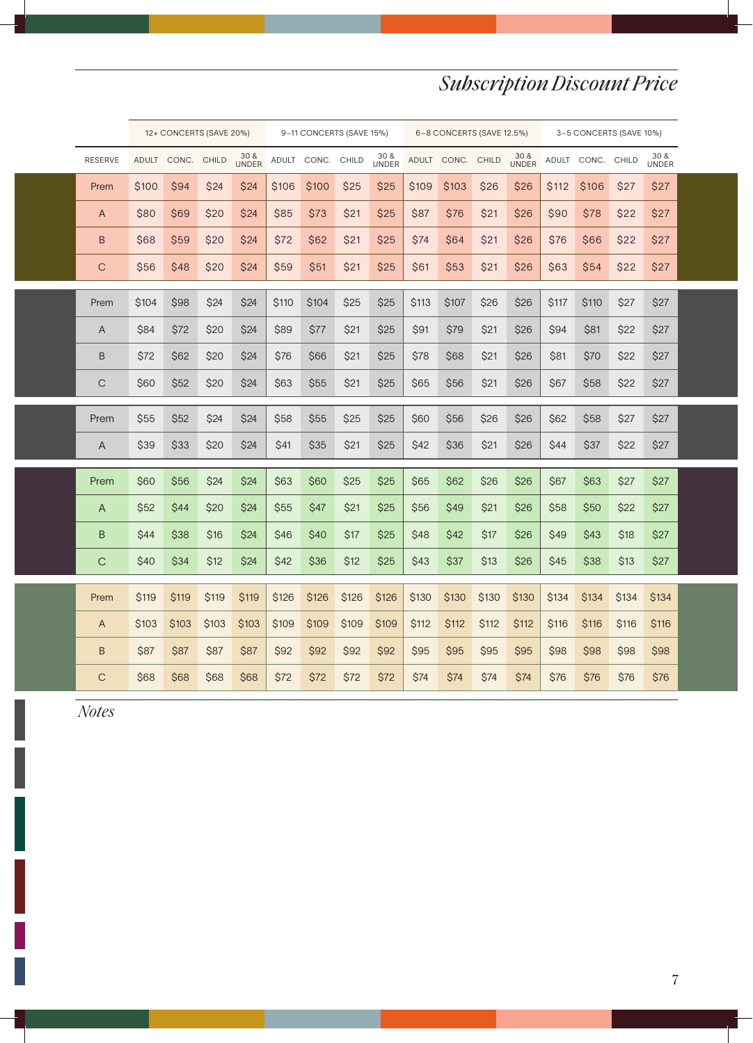# *Subscription Discount Price*

|                | 12+ CONCERTS (SAVE 20%) |             |              |                      | 9-11 CONCERTS (SAVE 15%) |             | 6-8 CONCERTS (SAVE 12.5%) |                      |             | 3-5 CONCERTS (SAVE 10%) |              |                      |             |                   |       |                      |  |
|----------------|-------------------------|-------------|--------------|----------------------|--------------------------|-------------|---------------------------|----------------------|-------------|-------------------------|--------------|----------------------|-------------|-------------------|-------|----------------------|--|
| <b>RESERVE</b> | <b>ADULT</b>            | CONC.       | <b>CHILD</b> | 30 &<br><b>UNDER</b> |                          | ADULT CONC. | <b>CHILD</b>              | 30 &<br><b>UNDER</b> |             | ADULT CONC.             | <b>CHILD</b> | 30 &<br><b>UNDER</b> |             | ADULT CONC. CHILD |       | 30 &<br><b>UNDER</b> |  |
| Prem           | \$100                   | \$94        | \$24         | \$24                 | \$106                    | \$100       | \$25                      | \$25                 | \$109       | \$103                   | \$26         | \$26                 | \$112       | \$106             | \$27  | \$27                 |  |
| A              | \$80                    | <b>\$69</b> | \$20         | \$24                 | <b>\$85</b>              | \$73        | \$21                      | \$25                 | \$87        | \$76                    | \$21         | \$26                 | S90         | \$78              | \$22  | \$27                 |  |
| B              | \$68                    | <b>\$59</b> | \$20         | \$24                 | \$72                     | \$62        | \$21                      | \$25                 | \$74        | <b>\$64</b>             | \$21         | <b>\$26</b>          | \$76        | \$66              | \$22  | \$27                 |  |
| C              | \$56                    | \$48        | \$20         | \$24                 | \$59                     | \$51        | \$21                      | \$25                 | <b>\$61</b> | \$53                    | \$21         | \$26                 | <b>S63</b>  | \$54              | \$22  | \$27                 |  |
| Prem           | \$104                   | \$98        | \$24         | \$24                 | \$110                    | \$104       | \$25                      | \$25                 | \$113       | \$107                   | \$26         | \$26                 | <b>S117</b> | \$110             | \$27  | \$27                 |  |
| A              | \$84                    | \$72        | \$20         | \$24                 | \$89                     | \$77        | \$21                      | \$25                 | \$91        | \$79                    | \$21         | \$26                 | \$94        | \$81              | \$22  | \$27                 |  |
| B              | \$72                    | \$62        | \$20         | \$24                 | \$76                     | \$66        | \$21                      | \$25                 | \$78        | \$68                    | \$21         | \$26                 | \$81        | \$70              | \$22  | \$27                 |  |
| C              | \$60                    | \$52        | \$20         | \$24                 | \$63                     | \$55        | \$21                      | \$25                 | \$65        | \$56                    | \$21         | \$26                 | \$67        | \$58              | \$22  | \$27                 |  |
| Prem           | \$55                    | \$52        | \$24         | \$24                 | \$58                     | \$55        | \$25                      | \$25                 | \$60        | \$56                    | \$26         | \$26                 | \$62        | \$58              | \$27  | \$27                 |  |
| A              | \$39                    | \$33        | \$20         | \$24                 | \$41                     | \$35        | \$21                      | \$25                 | \$42        | \$36                    | \$21         | \$26                 | \$44        | \$37              | \$22  | \$27                 |  |
| Prem           | \$60                    | \$56        | \$24         | \$24                 | \$63                     | \$60        | \$25                      | \$25                 | \$65        | \$62                    | \$26         | \$26                 | \$67        | \$63              | \$27  | \$27                 |  |
| $\overline{A}$ | \$52                    | <b>\$44</b> | \$20         | \$24                 | \$55                     | \$47        | \$21                      | \$25                 | \$56        | \$49                    | \$21         | \$26                 | \$58        | \$50              | \$22  | \$27                 |  |
| $\sf B$        | \$44                    | \$38        | \$16         | \$24                 | \$46                     | \$40        | \$17                      | \$25                 | \$48        | \$42                    | \$17         | \$26                 | \$49        | \$43              | \$18  | \$27                 |  |
| $\mathsf{C}$   | <b>\$40</b>             | \$34        | \$12         | \$24                 | \$42                     | \$36        | \$12                      | \$25                 | \$43        | \$37                    | \$13         | \$26                 | \$45        | <b>\$38</b>       | \$13  | \$27                 |  |
|                |                         |             |              |                      |                          |             |                           |                      |             |                         |              |                      |             |                   |       |                      |  |
| Prem           | \$119                   | \$119       | \$119        | <b>\$119</b>         | \$126                    | \$126       | \$126                     | \$126                | \$130       | \$130                   | \$130        | \$130                | \$134       | \$134             | \$134 | \$134                |  |
| $\mathsf{A}$   | \$103                   | \$103       | \$103        | \$103                | \$109                    | \$109       | \$109                     | \$109                | \$112       | \$112                   | \$112        | \$112                | \$116       | \$116             | \$116 | \$116                |  |
| $\sf B$        | \$87                    | \$87        | \$87         | \$87                 | \$92                     | \$92        | \$92                      | \$92                 | \$95        | \$95                    | \$95         | \$95                 | <b>\$98</b> | <b>\$98</b>       | \$98  | \$98                 |  |
| $\mathsf{C}$   | \$68                    | \$68        | \$68         | \$68                 | \$72                     | \$72        | \$72                      | \$72                 | \$74        | \$74                    | \$74         | \$74                 | \$76        | \$76              | \$76  | \$76                 |  |

*Notes*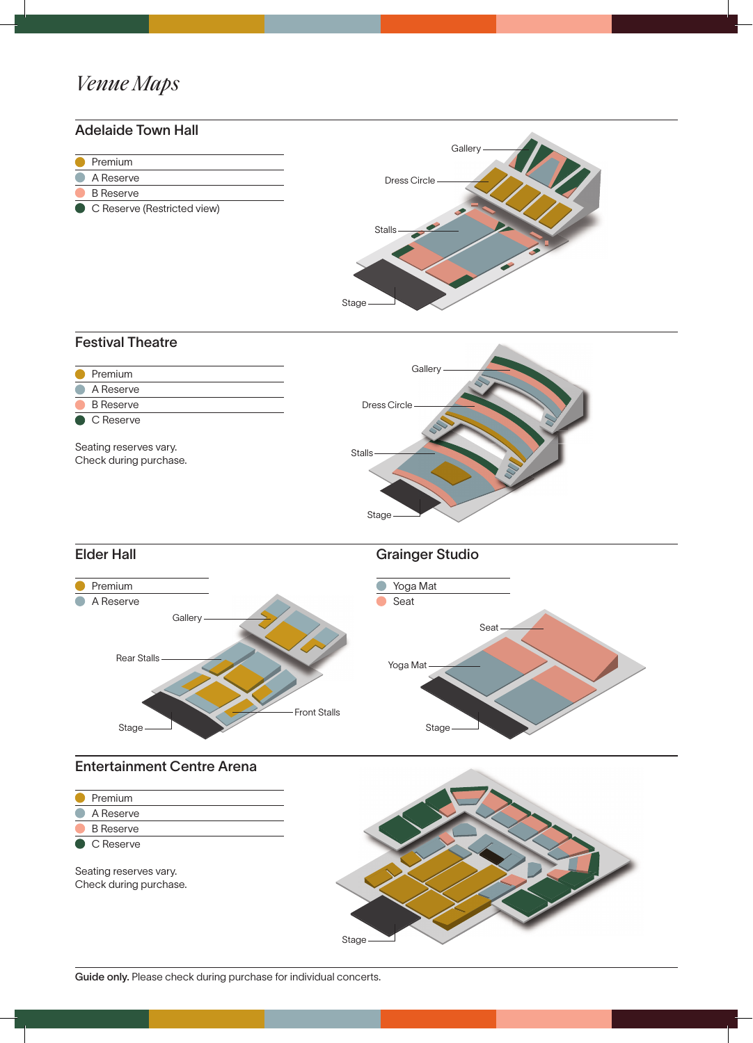# *Venue Maps*





Seating reserves vary. Check during purchase.

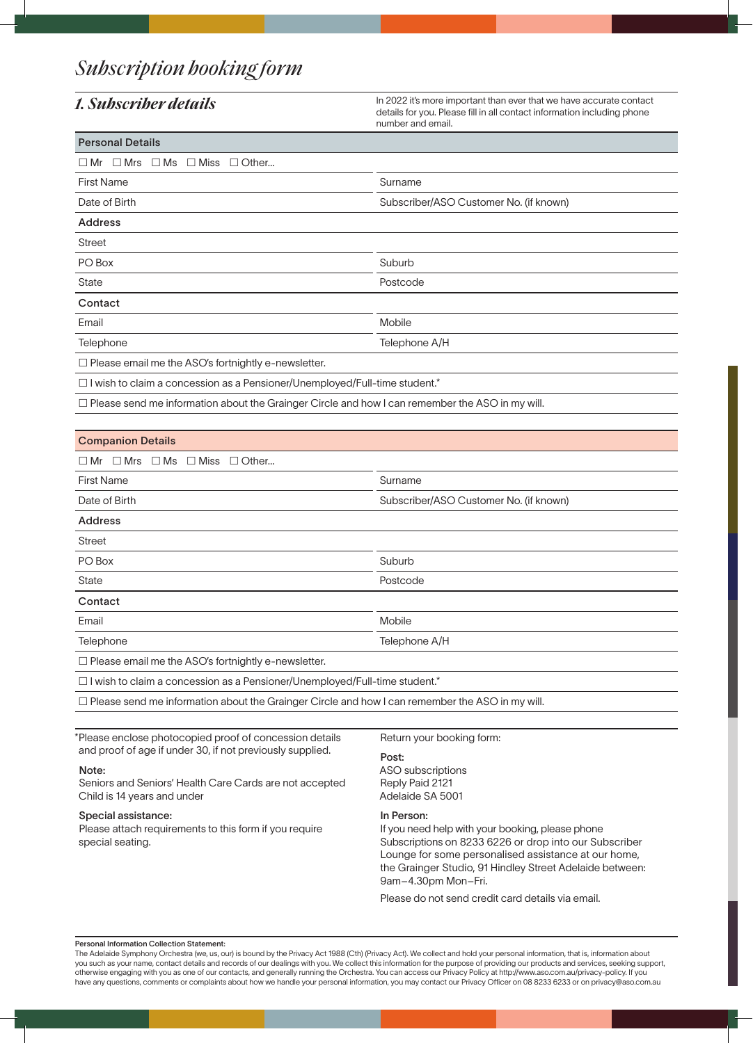# *Subscription booking form*

1. Subscriber details **In 2022** it's more important than ever that we have accurate contact details for you. Please fill in all contact information including phone number and email.

| <b>Personal Details</b>                                                           |                                        |  |  |  |  |
|-----------------------------------------------------------------------------------|----------------------------------------|--|--|--|--|
| $\Box$ Mr $\Box$ Mrs $\Box$ Ms<br>$\Box$ Miss<br>$\Box$ Other                     |                                        |  |  |  |  |
| <b>First Name</b>                                                                 | Surname                                |  |  |  |  |
| Date of Birth                                                                     | Subscriber/ASO Customer No. (if known) |  |  |  |  |
| <b>Address</b>                                                                    |                                        |  |  |  |  |
| <b>Street</b>                                                                     |                                        |  |  |  |  |
| PO Box                                                                            | Suburb                                 |  |  |  |  |
| <b>State</b>                                                                      | Postcode                               |  |  |  |  |
| Contact                                                                           |                                        |  |  |  |  |
| Email                                                                             | Mobile                                 |  |  |  |  |
| Telephone                                                                         | Telephone A/H                          |  |  |  |  |
| $\Box$ Please email me the ASO's fortnightly e-newsletter.                        |                                        |  |  |  |  |
| $\Box$ I wish to claim a concession as a Pensioner/Unemployed/Full-time student.* |                                        |  |  |  |  |

 $\Box$  Please send me information about the Grainger Circle and how I can remember the ASO in my will.

| <b>Companion Details</b>                                                          |                                        |  |  |  |
|-----------------------------------------------------------------------------------|----------------------------------------|--|--|--|
| $\Box$ Mrs<br>$\square$ Ms<br>$\square$ Miss<br>$\Box$ Other<br>$\square$ Mr      |                                        |  |  |  |
| <b>First Name</b>                                                                 | Surname                                |  |  |  |
| Date of Birth                                                                     | Subscriber/ASO Customer No. (if known) |  |  |  |
| <b>Address</b>                                                                    |                                        |  |  |  |
| <b>Street</b>                                                                     |                                        |  |  |  |
| PO Box                                                                            | Suburb                                 |  |  |  |
| <b>State</b>                                                                      | Postcode                               |  |  |  |
| Contact                                                                           |                                        |  |  |  |
| Email                                                                             | <b>Mobile</b>                          |  |  |  |
| Telephone                                                                         | Telephone A/H                          |  |  |  |
| $\Box$ Please email me the ASO's fortnightly e-newsletter.                        |                                        |  |  |  |
| $\Box$ I wish to claim a concession as a Pensioner/Unemployed/Full-time student.* |                                        |  |  |  |

 $\Box$  Please send me information about the Grainger Circle and how I can remember the ASO in my will.

\*Please enclose photocopied proof of concession details and proof of age if under 30, if not previously supplied.

### Note:

Seniors and Seniors' Health Care Cards are not accepted Child is 14 years and under

### Special assistance:

Please attach requirements to this form if you require special seating.

Return your booking form:

### Post:

ASO subscriptions Reply Paid 2121 Adelaide SA 5001

### In Person:

If you need help with your booking, please phone Subscriptions on 8233 6226 or drop into our Subscriber Lounge for some personalised assistance at our home, the Grainger Studio, 91 Hindley Street Adelaide between: 9am–4.30pm Mon–Fri.

Please do not send credit card details via email.

### Personal Information Collection Statement:

The Adelaide Symphony Orchestra (we, us, our) is bound by the Privacy Act 1988 (Cth) (Privacy Act). We collect and hold your personal information, that is, information about you such as your name, contact details and records of our dealings with you. We collect this information for the purpose of providing our products and services, seeking support, otherwise engaging with you as one of our contacts, and generally running the Orchestra. You can access our Privacy Policy at http://www.aso.com.au/privacy-policy. If you have any questions, comments or complaints about how we handle your personal information, you may contact our Privacy Officer on 08 8233 6233 or on privacy@aso.com.au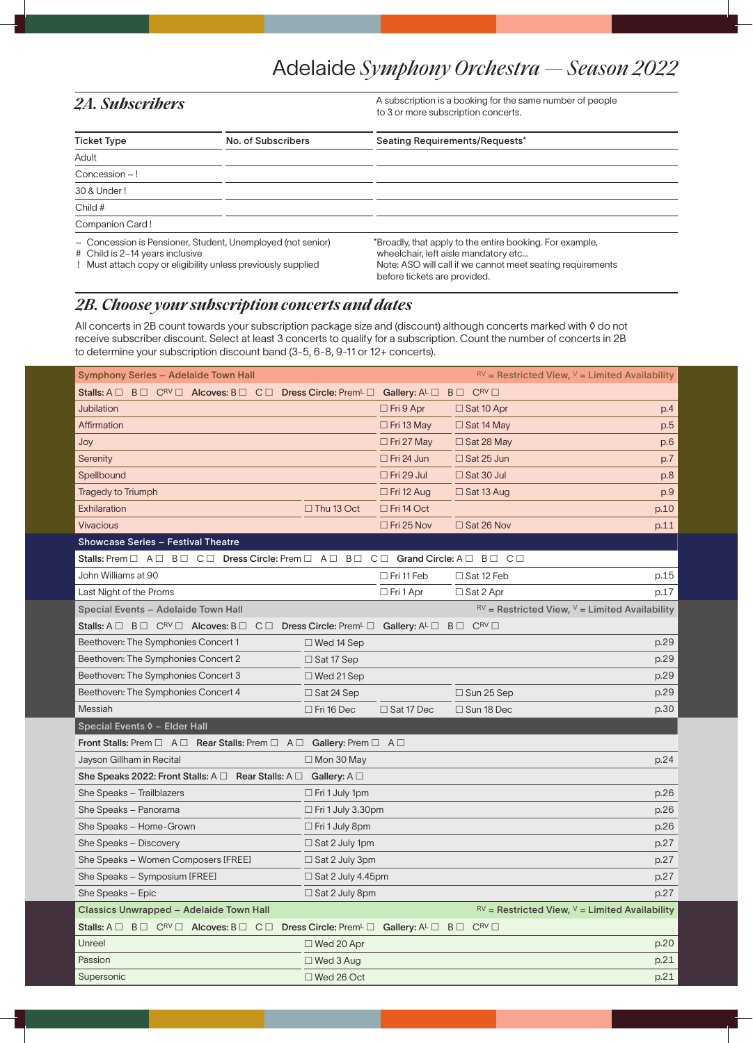2A. Subscribers **A** subscription is a booking for the same number of people to 3 or more subscription concerts.

| <b>Ticket Type</b>                                                                                                                                                | No. of Subscribers | Seating Requirements/Requests*                                                                                                                                                                 |  |  |  |  |
|-------------------------------------------------------------------------------------------------------------------------------------------------------------------|--------------------|------------------------------------------------------------------------------------------------------------------------------------------------------------------------------------------------|--|--|--|--|
| Adult                                                                                                                                                             |                    |                                                                                                                                                                                                |  |  |  |  |
| Concession $\sim$ !                                                                                                                                               |                    |                                                                                                                                                                                                |  |  |  |  |
| 30 & Under!                                                                                                                                                       |                    |                                                                                                                                                                                                |  |  |  |  |
| Child #                                                                                                                                                           |                    |                                                                                                                                                                                                |  |  |  |  |
| Companion Card!                                                                                                                                                   |                    |                                                                                                                                                                                                |  |  |  |  |
| $\sim$ Concession is Pensioner, Student, Unemployed (not senior)<br># Child is 2-14 years inclusive<br>Must attach copy or eligibility unless previously supplied |                    | *Broadly, that apply to the entire booking. For example,<br>wheelchair, left aisle mandatory etc<br>Note: ASO will call if we cannot meet seating requirements<br>before tickets are provided. |  |  |  |  |

# *2B. Choose your subscription concerts and dates*

All concerts in 2B count towards your subscription package size and (discount) although concerts marked with ◊ do not receive subscriber discount. Select at least 3 concerts to qualify for a subscription. Count the number of concerts in 2B to determine your subscription discount band (3-5, 6-8, 9-11 or 12+ concerts).

| BO CRVO Alcoves: BO CO Dress Circle: Prem <sup>L</sup> O Gallery: ALO<br>Stalls: $A \Box$<br>$C^{RV}$<br>$B \Box$<br>Jubilation<br>$\Box$ Fri 9 Apr<br>p.4<br>$\Box$ Sat 10 Apr<br>Affirmation<br>p.5<br>$\Box$ Fri 13 May<br>$\Box$ Sat 14 May<br>p.6<br>Joy<br>$\Box$ Sat 28 May<br>$\Box$ Fri 27 May<br>Serenity<br>$\Box$ Fri 24 Jun<br>$\Box$ Sat 25 Jun<br>p.7<br>$\Box$ Fri 29 Jul<br>Spellbound<br>$\Box$ Sat 30 Jul<br>p.8<br><b>Tragedy to Triumph</b><br>p.9<br>$\Box$ Fri 12 Aug<br>$\Box$ Sat 13 Aug<br>Exhilaration<br>$\Box$ Thu 13 Oct<br>$\Box$ Fri 14 Oct<br>p.10<br><b>Vivacious</b><br>$\Box$ Sat 26 Nov<br>$\Box$ Fri 25 Nov<br>p.11<br><b>Showcase Series - Festival Theatre</b><br>Stalls: Prem $\Box$ A $\Box$ B $\Box$ C $\Box$ Dress Circle: Prem $\Box$ A $\Box$ B $\Box$ C $\Box$ Grand Circle: A $\Box$ B $\Box$ C $\Box$<br>John Williams at 90<br>$\Box$ Fri 11 Feb<br>$\Box$ Sat 12 Feb<br>p.15<br>Last Night of the Proms<br>$\Box$ Fri 1 Apr<br>p.17<br>$\Box$ Sat 2 Apr<br>$RV$ = Restricted View, $V$ = Limited Availability<br>Special Events - Adelaide Town Hall<br>Stalls: A $\Box$ B $\Box$ C <sup>RV</sup> $\Box$ Alcoves: B $\Box$ C $\Box$ Dress Circle: Prem <sup>L</sup> $\Box$ Gallery: A <sup>L</sup> $\Box$<br>$C^{RV}$<br>$B \Box$<br>Beethoven: The Symphonies Concert 1<br>$\Box$ Wed 14 Sep<br>p.29<br>Beethoven: The Symphonies Concert 2<br>p.29<br>$\Box$ Sat 17 Sep<br>Beethoven: The Symphonies Concert 3<br>p.29<br>$\Box$ Wed 21 Sep<br>Beethoven: The Symphonies Concert 4<br>p.29<br>$\Box$ Sat 24 Sep<br>$\Box$ Sun 25 Sep<br>Messiah<br>$\Box$ Fri 16 Dec<br>$\Box$ Sat 17 Dec<br>$\Box$ Sun 18 Dec<br>p.30<br>Front Stalls: Prem $\Box$ A $\Box$ Rear Stalls: Prem $\Box$ A $\Box$ Gallery: Prem $\Box$ A $\Box$<br>Jayson Gillham in Recital<br>$\Box$ Mon 30 May<br>p.24<br>She Speaks 2022: Front Stalls: $A \Box$ Rear Stalls: $A \Box$ Gallery: $A \Box$<br>She Speaks - Trailblazers<br>$\Box$ Fri 1 July 1pm<br>p.26<br>She Speaks - Panorama<br>$\Box$ Fri 1 July 3.30pm<br>p.26<br>She Speaks - Home-Grown<br>$\Box$ Fri 1 July 8pm<br>p.26<br>She Speaks - Discovery<br>p.27<br>$\Box$ Sat 2 July 1pm<br>She Speaks - Women Composers [FREE]<br>p.27<br>$\Box$ Sat 2 July 3pm<br>She Speaks - Symposium [FREE]<br>p.27<br>$\Box$ Sat 2 July 4.45pm<br>p.27<br>She Speaks - Epic<br>$\Box$ Sat 2 July 8pm<br>$\mathbb{R}^V$ = Restricted View, $V$ = Limited Availability<br><b>Classics Unwrapped - Adelaide Town Hall</b><br>Stalls: $A \Box B \Box C^{RV} \Box$ Alcoves: $B \Box C \Box$ Dress Circle: Prem <sup>L</sup> $\Box$ Gallery: $A^L \Box B \Box C^{RV} \Box$<br>Unreel<br>$\Box$ Wed 20 Apr<br>p.20<br>Passion<br>p.21<br>$\Box$ Wed 3 Aug<br>Supersonic<br>$\Box$ Wed 26 Oct<br>p.21 | Symphony Series - Adelaide Town Hall |  |  | $\mathbb{R}^V$ = Restricted View, $V$ = Limited Availability |  |  |
|------------------------------------------------------------------------------------------------------------------------------------------------------------------------------------------------------------------------------------------------------------------------------------------------------------------------------------------------------------------------------------------------------------------------------------------------------------------------------------------------------------------------------------------------------------------------------------------------------------------------------------------------------------------------------------------------------------------------------------------------------------------------------------------------------------------------------------------------------------------------------------------------------------------------------------------------------------------------------------------------------------------------------------------------------------------------------------------------------------------------------------------------------------------------------------------------------------------------------------------------------------------------------------------------------------------------------------------------------------------------------------------------------------------------------------------------------------------------------------------------------------------------------------------------------------------------------------------------------------------------------------------------------------------------------------------------------------------------------------------------------------------------------------------------------------------------------------------------------------------------------------------------------------------------------------------------------------------------------------------------------------------------------------------------------------------------------------------------------------------------------------------------------------------------------------------------------------------------------------------------------------------------------------------------------------------------------------------------------------------------------------------------------------------------------------------------------------------------------------------------------------------------------------------------------------------------------------------------------------------------------------------------------------------------------------------------------------------------------------------------------------------------------|--------------------------------------|--|--|--------------------------------------------------------------|--|--|
|                                                                                                                                                                                                                                                                                                                                                                                                                                                                                                                                                                                                                                                                                                                                                                                                                                                                                                                                                                                                                                                                                                                                                                                                                                                                                                                                                                                                                                                                                                                                                                                                                                                                                                                                                                                                                                                                                                                                                                                                                                                                                                                                                                                                                                                                                                                                                                                                                                                                                                                                                                                                                                                                                                                                                                              |                                      |  |  |                                                              |  |  |
|                                                                                                                                                                                                                                                                                                                                                                                                                                                                                                                                                                                                                                                                                                                                                                                                                                                                                                                                                                                                                                                                                                                                                                                                                                                                                                                                                                                                                                                                                                                                                                                                                                                                                                                                                                                                                                                                                                                                                                                                                                                                                                                                                                                                                                                                                                                                                                                                                                                                                                                                                                                                                                                                                                                                                                              |                                      |  |  |                                                              |  |  |
|                                                                                                                                                                                                                                                                                                                                                                                                                                                                                                                                                                                                                                                                                                                                                                                                                                                                                                                                                                                                                                                                                                                                                                                                                                                                                                                                                                                                                                                                                                                                                                                                                                                                                                                                                                                                                                                                                                                                                                                                                                                                                                                                                                                                                                                                                                                                                                                                                                                                                                                                                                                                                                                                                                                                                                              |                                      |  |  |                                                              |  |  |
|                                                                                                                                                                                                                                                                                                                                                                                                                                                                                                                                                                                                                                                                                                                                                                                                                                                                                                                                                                                                                                                                                                                                                                                                                                                                                                                                                                                                                                                                                                                                                                                                                                                                                                                                                                                                                                                                                                                                                                                                                                                                                                                                                                                                                                                                                                                                                                                                                                                                                                                                                                                                                                                                                                                                                                              |                                      |  |  |                                                              |  |  |
|                                                                                                                                                                                                                                                                                                                                                                                                                                                                                                                                                                                                                                                                                                                                                                                                                                                                                                                                                                                                                                                                                                                                                                                                                                                                                                                                                                                                                                                                                                                                                                                                                                                                                                                                                                                                                                                                                                                                                                                                                                                                                                                                                                                                                                                                                                                                                                                                                                                                                                                                                                                                                                                                                                                                                                              |                                      |  |  |                                                              |  |  |
|                                                                                                                                                                                                                                                                                                                                                                                                                                                                                                                                                                                                                                                                                                                                                                                                                                                                                                                                                                                                                                                                                                                                                                                                                                                                                                                                                                                                                                                                                                                                                                                                                                                                                                                                                                                                                                                                                                                                                                                                                                                                                                                                                                                                                                                                                                                                                                                                                                                                                                                                                                                                                                                                                                                                                                              |                                      |  |  |                                                              |  |  |
|                                                                                                                                                                                                                                                                                                                                                                                                                                                                                                                                                                                                                                                                                                                                                                                                                                                                                                                                                                                                                                                                                                                                                                                                                                                                                                                                                                                                                                                                                                                                                                                                                                                                                                                                                                                                                                                                                                                                                                                                                                                                                                                                                                                                                                                                                                                                                                                                                                                                                                                                                                                                                                                                                                                                                                              |                                      |  |  |                                                              |  |  |
|                                                                                                                                                                                                                                                                                                                                                                                                                                                                                                                                                                                                                                                                                                                                                                                                                                                                                                                                                                                                                                                                                                                                                                                                                                                                                                                                                                                                                                                                                                                                                                                                                                                                                                                                                                                                                                                                                                                                                                                                                                                                                                                                                                                                                                                                                                                                                                                                                                                                                                                                                                                                                                                                                                                                                                              |                                      |  |  |                                                              |  |  |
|                                                                                                                                                                                                                                                                                                                                                                                                                                                                                                                                                                                                                                                                                                                                                                                                                                                                                                                                                                                                                                                                                                                                                                                                                                                                                                                                                                                                                                                                                                                                                                                                                                                                                                                                                                                                                                                                                                                                                                                                                                                                                                                                                                                                                                                                                                                                                                                                                                                                                                                                                                                                                                                                                                                                                                              |                                      |  |  |                                                              |  |  |
|                                                                                                                                                                                                                                                                                                                                                                                                                                                                                                                                                                                                                                                                                                                                                                                                                                                                                                                                                                                                                                                                                                                                                                                                                                                                                                                                                                                                                                                                                                                                                                                                                                                                                                                                                                                                                                                                                                                                                                                                                                                                                                                                                                                                                                                                                                                                                                                                                                                                                                                                                                                                                                                                                                                                                                              |                                      |  |  |                                                              |  |  |
|                                                                                                                                                                                                                                                                                                                                                                                                                                                                                                                                                                                                                                                                                                                                                                                                                                                                                                                                                                                                                                                                                                                                                                                                                                                                                                                                                                                                                                                                                                                                                                                                                                                                                                                                                                                                                                                                                                                                                                                                                                                                                                                                                                                                                                                                                                                                                                                                                                                                                                                                                                                                                                                                                                                                                                              |                                      |  |  |                                                              |  |  |
|                                                                                                                                                                                                                                                                                                                                                                                                                                                                                                                                                                                                                                                                                                                                                                                                                                                                                                                                                                                                                                                                                                                                                                                                                                                                                                                                                                                                                                                                                                                                                                                                                                                                                                                                                                                                                                                                                                                                                                                                                                                                                                                                                                                                                                                                                                                                                                                                                                                                                                                                                                                                                                                                                                                                                                              |                                      |  |  |                                                              |  |  |
|                                                                                                                                                                                                                                                                                                                                                                                                                                                                                                                                                                                                                                                                                                                                                                                                                                                                                                                                                                                                                                                                                                                                                                                                                                                                                                                                                                                                                                                                                                                                                                                                                                                                                                                                                                                                                                                                                                                                                                                                                                                                                                                                                                                                                                                                                                                                                                                                                                                                                                                                                                                                                                                                                                                                                                              |                                      |  |  |                                                              |  |  |
|                                                                                                                                                                                                                                                                                                                                                                                                                                                                                                                                                                                                                                                                                                                                                                                                                                                                                                                                                                                                                                                                                                                                                                                                                                                                                                                                                                                                                                                                                                                                                                                                                                                                                                                                                                                                                                                                                                                                                                                                                                                                                                                                                                                                                                                                                                                                                                                                                                                                                                                                                                                                                                                                                                                                                                              |                                      |  |  |                                                              |  |  |
|                                                                                                                                                                                                                                                                                                                                                                                                                                                                                                                                                                                                                                                                                                                                                                                                                                                                                                                                                                                                                                                                                                                                                                                                                                                                                                                                                                                                                                                                                                                                                                                                                                                                                                                                                                                                                                                                                                                                                                                                                                                                                                                                                                                                                                                                                                                                                                                                                                                                                                                                                                                                                                                                                                                                                                              |                                      |  |  |                                                              |  |  |
|                                                                                                                                                                                                                                                                                                                                                                                                                                                                                                                                                                                                                                                                                                                                                                                                                                                                                                                                                                                                                                                                                                                                                                                                                                                                                                                                                                                                                                                                                                                                                                                                                                                                                                                                                                                                                                                                                                                                                                                                                                                                                                                                                                                                                                                                                                                                                                                                                                                                                                                                                                                                                                                                                                                                                                              |                                      |  |  |                                                              |  |  |
|                                                                                                                                                                                                                                                                                                                                                                                                                                                                                                                                                                                                                                                                                                                                                                                                                                                                                                                                                                                                                                                                                                                                                                                                                                                                                                                                                                                                                                                                                                                                                                                                                                                                                                                                                                                                                                                                                                                                                                                                                                                                                                                                                                                                                                                                                                                                                                                                                                                                                                                                                                                                                                                                                                                                                                              |                                      |  |  |                                                              |  |  |
|                                                                                                                                                                                                                                                                                                                                                                                                                                                                                                                                                                                                                                                                                                                                                                                                                                                                                                                                                                                                                                                                                                                                                                                                                                                                                                                                                                                                                                                                                                                                                                                                                                                                                                                                                                                                                                                                                                                                                                                                                                                                                                                                                                                                                                                                                                                                                                                                                                                                                                                                                                                                                                                                                                                                                                              |                                      |  |  |                                                              |  |  |
|                                                                                                                                                                                                                                                                                                                                                                                                                                                                                                                                                                                                                                                                                                                                                                                                                                                                                                                                                                                                                                                                                                                                                                                                                                                                                                                                                                                                                                                                                                                                                                                                                                                                                                                                                                                                                                                                                                                                                                                                                                                                                                                                                                                                                                                                                                                                                                                                                                                                                                                                                                                                                                                                                                                                                                              |                                      |  |  |                                                              |  |  |
|                                                                                                                                                                                                                                                                                                                                                                                                                                                                                                                                                                                                                                                                                                                                                                                                                                                                                                                                                                                                                                                                                                                                                                                                                                                                                                                                                                                                                                                                                                                                                                                                                                                                                                                                                                                                                                                                                                                                                                                                                                                                                                                                                                                                                                                                                                                                                                                                                                                                                                                                                                                                                                                                                                                                                                              |                                      |  |  |                                                              |  |  |
|                                                                                                                                                                                                                                                                                                                                                                                                                                                                                                                                                                                                                                                                                                                                                                                                                                                                                                                                                                                                                                                                                                                                                                                                                                                                                                                                                                                                                                                                                                                                                                                                                                                                                                                                                                                                                                                                                                                                                                                                                                                                                                                                                                                                                                                                                                                                                                                                                                                                                                                                                                                                                                                                                                                                                                              | Special Events 0 - Elder Hall        |  |  |                                                              |  |  |
|                                                                                                                                                                                                                                                                                                                                                                                                                                                                                                                                                                                                                                                                                                                                                                                                                                                                                                                                                                                                                                                                                                                                                                                                                                                                                                                                                                                                                                                                                                                                                                                                                                                                                                                                                                                                                                                                                                                                                                                                                                                                                                                                                                                                                                                                                                                                                                                                                                                                                                                                                                                                                                                                                                                                                                              |                                      |  |  |                                                              |  |  |
|                                                                                                                                                                                                                                                                                                                                                                                                                                                                                                                                                                                                                                                                                                                                                                                                                                                                                                                                                                                                                                                                                                                                                                                                                                                                                                                                                                                                                                                                                                                                                                                                                                                                                                                                                                                                                                                                                                                                                                                                                                                                                                                                                                                                                                                                                                                                                                                                                                                                                                                                                                                                                                                                                                                                                                              |                                      |  |  |                                                              |  |  |
|                                                                                                                                                                                                                                                                                                                                                                                                                                                                                                                                                                                                                                                                                                                                                                                                                                                                                                                                                                                                                                                                                                                                                                                                                                                                                                                                                                                                                                                                                                                                                                                                                                                                                                                                                                                                                                                                                                                                                                                                                                                                                                                                                                                                                                                                                                                                                                                                                                                                                                                                                                                                                                                                                                                                                                              |                                      |  |  |                                                              |  |  |
|                                                                                                                                                                                                                                                                                                                                                                                                                                                                                                                                                                                                                                                                                                                                                                                                                                                                                                                                                                                                                                                                                                                                                                                                                                                                                                                                                                                                                                                                                                                                                                                                                                                                                                                                                                                                                                                                                                                                                                                                                                                                                                                                                                                                                                                                                                                                                                                                                                                                                                                                                                                                                                                                                                                                                                              |                                      |  |  |                                                              |  |  |
|                                                                                                                                                                                                                                                                                                                                                                                                                                                                                                                                                                                                                                                                                                                                                                                                                                                                                                                                                                                                                                                                                                                                                                                                                                                                                                                                                                                                                                                                                                                                                                                                                                                                                                                                                                                                                                                                                                                                                                                                                                                                                                                                                                                                                                                                                                                                                                                                                                                                                                                                                                                                                                                                                                                                                                              |                                      |  |  |                                                              |  |  |
|                                                                                                                                                                                                                                                                                                                                                                                                                                                                                                                                                                                                                                                                                                                                                                                                                                                                                                                                                                                                                                                                                                                                                                                                                                                                                                                                                                                                                                                                                                                                                                                                                                                                                                                                                                                                                                                                                                                                                                                                                                                                                                                                                                                                                                                                                                                                                                                                                                                                                                                                                                                                                                                                                                                                                                              |                                      |  |  |                                                              |  |  |
|                                                                                                                                                                                                                                                                                                                                                                                                                                                                                                                                                                                                                                                                                                                                                                                                                                                                                                                                                                                                                                                                                                                                                                                                                                                                                                                                                                                                                                                                                                                                                                                                                                                                                                                                                                                                                                                                                                                                                                                                                                                                                                                                                                                                                                                                                                                                                                                                                                                                                                                                                                                                                                                                                                                                                                              |                                      |  |  |                                                              |  |  |
|                                                                                                                                                                                                                                                                                                                                                                                                                                                                                                                                                                                                                                                                                                                                                                                                                                                                                                                                                                                                                                                                                                                                                                                                                                                                                                                                                                                                                                                                                                                                                                                                                                                                                                                                                                                                                                                                                                                                                                                                                                                                                                                                                                                                                                                                                                                                                                                                                                                                                                                                                                                                                                                                                                                                                                              |                                      |  |  |                                                              |  |  |
|                                                                                                                                                                                                                                                                                                                                                                                                                                                                                                                                                                                                                                                                                                                                                                                                                                                                                                                                                                                                                                                                                                                                                                                                                                                                                                                                                                                                                                                                                                                                                                                                                                                                                                                                                                                                                                                                                                                                                                                                                                                                                                                                                                                                                                                                                                                                                                                                                                                                                                                                                                                                                                                                                                                                                                              |                                      |  |  |                                                              |  |  |
|                                                                                                                                                                                                                                                                                                                                                                                                                                                                                                                                                                                                                                                                                                                                                                                                                                                                                                                                                                                                                                                                                                                                                                                                                                                                                                                                                                                                                                                                                                                                                                                                                                                                                                                                                                                                                                                                                                                                                                                                                                                                                                                                                                                                                                                                                                                                                                                                                                                                                                                                                                                                                                                                                                                                                                              |                                      |  |  |                                                              |  |  |
|                                                                                                                                                                                                                                                                                                                                                                                                                                                                                                                                                                                                                                                                                                                                                                                                                                                                                                                                                                                                                                                                                                                                                                                                                                                                                                                                                                                                                                                                                                                                                                                                                                                                                                                                                                                                                                                                                                                                                                                                                                                                                                                                                                                                                                                                                                                                                                                                                                                                                                                                                                                                                                                                                                                                                                              |                                      |  |  |                                                              |  |  |
|                                                                                                                                                                                                                                                                                                                                                                                                                                                                                                                                                                                                                                                                                                                                                                                                                                                                                                                                                                                                                                                                                                                                                                                                                                                                                                                                                                                                                                                                                                                                                                                                                                                                                                                                                                                                                                                                                                                                                                                                                                                                                                                                                                                                                                                                                                                                                                                                                                                                                                                                                                                                                                                                                                                                                                              |                                      |  |  |                                                              |  |  |
|                                                                                                                                                                                                                                                                                                                                                                                                                                                                                                                                                                                                                                                                                                                                                                                                                                                                                                                                                                                                                                                                                                                                                                                                                                                                                                                                                                                                                                                                                                                                                                                                                                                                                                                                                                                                                                                                                                                                                                                                                                                                                                                                                                                                                                                                                                                                                                                                                                                                                                                                                                                                                                                                                                                                                                              |                                      |  |  |                                                              |  |  |
|                                                                                                                                                                                                                                                                                                                                                                                                                                                                                                                                                                                                                                                                                                                                                                                                                                                                                                                                                                                                                                                                                                                                                                                                                                                                                                                                                                                                                                                                                                                                                                                                                                                                                                                                                                                                                                                                                                                                                                                                                                                                                                                                                                                                                                                                                                                                                                                                                                                                                                                                                                                                                                                                                                                                                                              |                                      |  |  |                                                              |  |  |
|                                                                                                                                                                                                                                                                                                                                                                                                                                                                                                                                                                                                                                                                                                                                                                                                                                                                                                                                                                                                                                                                                                                                                                                                                                                                                                                                                                                                                                                                                                                                                                                                                                                                                                                                                                                                                                                                                                                                                                                                                                                                                                                                                                                                                                                                                                                                                                                                                                                                                                                                                                                                                                                                                                                                                                              |                                      |  |  |                                                              |  |  |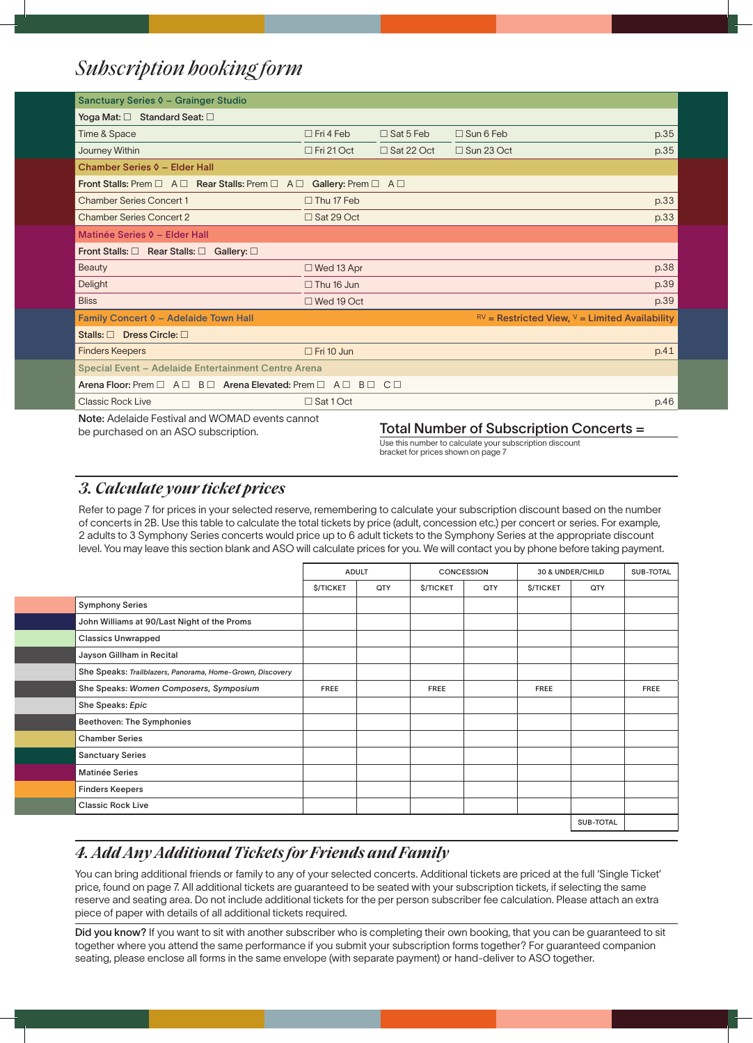# *Subscription booking form*

| Sanctuary Series 0 - Grainger Studio                                                               |                   |                  |                                                              |      |  |  |  |
|----------------------------------------------------------------------------------------------------|-------------------|------------------|--------------------------------------------------------------|------|--|--|--|
| Yoga Mat: $\square$ Standard Seat: $\square$                                                       |                   |                  |                                                              |      |  |  |  |
| Time & Space                                                                                       | $\Box$ Fri 4 Feb  | $\Box$ Sat 5 Feb | $\Box$ Sun 6 Feb                                             | p.35 |  |  |  |
| Journey Within                                                                                     | $\Box$ Fri 21 Oct | □ Sat 22 Oct     | $\Box$ Sun 23 Oct                                            | p.35 |  |  |  |
| Chamber Series 0 - Elder Hall                                                                      |                   |                  |                                                              |      |  |  |  |
| Front Stalls: Prem $\Box$ A $\Box$ Rear Stalls: Prem $\Box$ A $\Box$ Gallery: Prem $\Box$ A $\Box$ |                   |                  |                                                              |      |  |  |  |
| <b>Chamber Series Concert 1</b>                                                                    | $\Box$ Thu 17 Feb |                  |                                                              | p.33 |  |  |  |
| <b>Chamber Series Concert 2</b>                                                                    | □ Sat 29 Oct      |                  |                                                              | p.33 |  |  |  |
| Matinée Series 0 - Elder Hall                                                                      |                   |                  |                                                              |      |  |  |  |
| Front Stalls: $\square$ Rear Stalls: $\square$ Gallery: $\square$                                  |                   |                  |                                                              |      |  |  |  |
| <b>Beauty</b>                                                                                      | $\Box$ Wed 13 Apr |                  |                                                              | p.38 |  |  |  |
| Delight                                                                                            | $\Box$ Thu 16 Jun |                  |                                                              | p.39 |  |  |  |
| <b>Bliss</b>                                                                                       | $\Box$ Wed 19 Oct |                  |                                                              | p.39 |  |  |  |
| Family Concert 0 - Adelaide Town Hall                                                              |                   |                  | $\mathbb{R}^V$ = Restricted View, $V$ = Limited Availability |      |  |  |  |
| Stalls: $\Box$ Dress Circle: $\Box$                                                                |                   |                  |                                                              |      |  |  |  |
| <b>Finders Keepers</b>                                                                             | $\Box$ Fri 10 Jun |                  |                                                              | p.41 |  |  |  |
| Special Event - Adelaide Entertainment Centre Arena                                                |                   |                  |                                                              |      |  |  |  |
| Arena Floor: Prem $\Box$ A $\Box$ B $\Box$ Arena Elevated: Prem $\Box$ A $\Box$ B $\Box$ C $\Box$  |                   |                  |                                                              |      |  |  |  |
| <b>Classic Rock Live</b>                                                                           | □ Sat 1 Oct       |                  |                                                              | p.46 |  |  |  |
| <b>Note:</b> Adelaide Festival and WOMAD events cannot<br>.<br>_ _ _ _                             |                   |                  |                                                              |      |  |  |  |

## be purchased on an ASO subscription. Total Number of Subscription Concerts =

Use this number to calculate your subscription discount bracket for prices shown on page 7

## *3. Calculate your ticket prices*

Refer to page 7 for prices in your selected reserve, remembering to calculate your subscription discount based on the number of concerts in 2B. Use this table to calculate the total tickets by price (adult, concession etc.) per concert or series. For example, 2 adults to 3 Symphony Series concerts would price up to 6 adult tickets to the Symphony Series at the appropriate discount level. You may leave this section blank and ASO will calculate prices for you. We will contact you by phone before taking payment.

|                                                           | <b>ADULT</b>     |     | <b>CONCESSION</b>      |                  | 30 & UNDER/CHILD |     | <b>SUB-TOTAL</b> |
|-----------------------------------------------------------|------------------|-----|------------------------|------------------|------------------|-----|------------------|
|                                                           | <b>\$/TICKET</b> | QTY | <b><i>S/TICKET</i></b> | QTY              | <b>\$/TICKET</b> | QTY |                  |
| <b>Symphony Series</b>                                    |                  |     |                        |                  |                  |     |                  |
| John Williams at 90/Last Night of the Proms               |                  |     |                        |                  |                  |     |                  |
| <b>Classics Unwrapped</b>                                 |                  |     |                        |                  |                  |     |                  |
| Jayson Gillham in Recital                                 |                  |     |                        |                  |                  |     |                  |
| She Speaks: Trailblazers, Panorama, Home-Grown, Discovery |                  |     |                        |                  |                  |     |                  |
| She Speaks: Women Composers, Symposium                    | <b>FREE</b>      |     | <b>FREE</b>            |                  | <b>FREE</b>      |     | <b>FREE</b>      |
| She Speaks: Epic                                          |                  |     |                        |                  |                  |     |                  |
| Beethoven: The Symphonies                                 |                  |     |                        |                  |                  |     |                  |
| <b>Chamber Series</b>                                     |                  |     |                        |                  |                  |     |                  |
| <b>Sanctuary Series</b>                                   |                  |     |                        |                  |                  |     |                  |
| <b>Matinée Series</b>                                     |                  |     |                        |                  |                  |     |                  |
| <b>Finders Keepers</b>                                    |                  |     |                        |                  |                  |     |                  |
| <b>Classic Rock Live</b>                                  |                  |     |                        |                  |                  |     |                  |
|                                                           |                  |     |                        | <b>SUB-TOTAL</b> |                  |     |                  |

# *4. Add Any Additional Tickets for Friends and Family*

You can bring additional friends or family to any of your selected concerts. Additional tickets are priced at the full 'Single Ticket' price, found on page 7. All additional tickets are guaranteed to be seated with your subscription tickets, if selecting the same reserve and seating area. Do not include additional tickets for the per person subscriber fee calculation. Please attach an extra piece of paper with details of all additional tickets required.

Did you know? If you want to sit with another subscriber who is completing their own booking, that you can be guaranteed to sit together where you attend the same performance if you submit your subscription forms together? For guaranteed companion seating, please enclose all forms in the same envelope (with separate payment) or hand-deliver to ASO together.